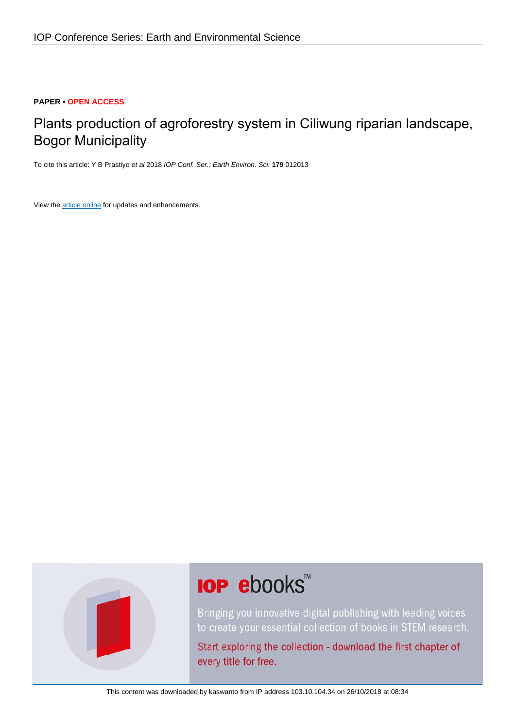# **PAPER • OPEN ACCESS**

# Plants production of agroforestry system in Ciliwung riparian landscape, Bogor Municipality

To cite this article: Y B Prastiyo et al 2018 IOP Conf. Ser.: Earth Environ. Sci. **179** 012013

View the [article online](https://doi.org/10.1088/1755-1315/179/1/012013) for updates and enhancements.



# **IOP ebooks**™

Bringing you innovative digital publishing with leading voices to create your essential collection of books in STEM research.

Start exploring the collection - download the first chapter of every title for free.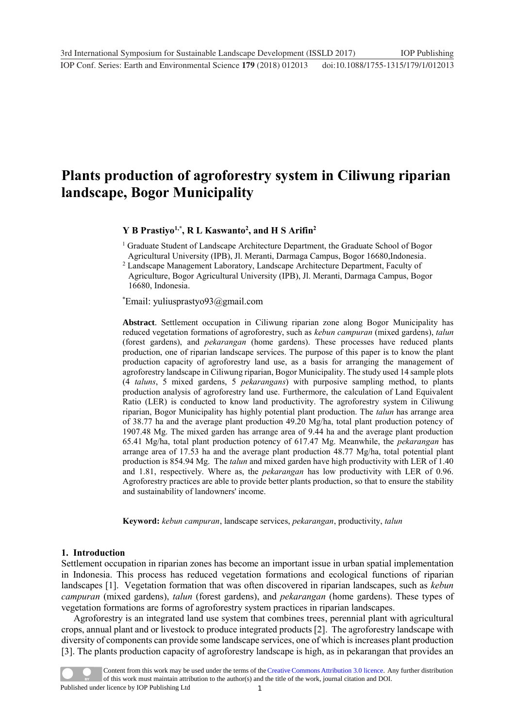# **Plants production of agroforestry system in Ciliwung riparian landscape, Bogor Municipality**

# **Y B Prastiyo1,\*, R L Kaswanto<sup>2</sup> , and H S Arifin<sup>2</sup>**

<sup>1</sup> Graduate Student of Landscape Architecture Department, the Graduate School of Bogor Agricultural University (IPB), Jl. Meranti, Darmaga Campus, Bogor 16680,Indonesia.

<sup>2</sup> Landscape Management Laboratory, Landscape Architecture Department, Faculty of

Agriculture, Bogor Agricultural University (IPB), Jl. Meranti, Darmaga Campus, Bogor 16680, Indonesia.

\*Email: yuliusprastyo93@gmail.com

**Abstract**. Settlement occupation in Ciliwung riparian zone along Bogor Municipality has reduced vegetation formations of agroforestry, such as *kebun campuran* (mixed gardens), *talun* (forest gardens), and *pekarangan* (home gardens). These processes have reduced plants production, one of riparian landscape services. The purpose of this paper is to know the plant production capacity of agroforestry land use, as a basis for arranging the management of agroforestry landscape in Ciliwung riparian, Bogor Municipality. The study used 14 sample plots (4 *taluns*, 5 mixed gardens, 5 *pekarangans*) with purposive sampling method, to plants production analysis of agroforestry land use. Furthermore, the calculation of Land Equivalent Ratio (LER) is conducted to know land productivity. The agroforestry system in Ciliwung riparian, Bogor Municipality has highly potential plant production. The *talun* has arrange area of 38.77 ha and the average plant production 49.20 Mg/ha, total plant production potency of 1907.48 Mg. The mixed garden has arrange area of 9.44 ha and the average plant production 65.41 Mg/ha, total plant production potency of 617.47 Mg. Meanwhile, the *pekarangan* has arrange area of 17.53 ha and the average plant production  $48.77 \text{ Mg/ha}$ , total potential plant production is 854.94 Mg. The *talun* and mixed garden have high productivity with LER of 1.40 and 1.81, respectively. Where as, the *pekarangan* has low productivity with LER of 0.96. Agroforestry practices are able to provide better plants production, so that to ensure the stability and sustainability of landowners' income.

**Keyword:** *kebun campuran*, landscape services, *pekarangan*, productivity, *talun*

#### **1. Introduction**

Settlement occupation in riparian zones has become an important issue in urban spatial implementation in Indonesia. This process has reduced vegetation formations and ecological functions of riparian landscapes [1]. Vegetation formation that was often discovered in riparian landscapes, such as *kebun campuran* (mixed gardens), *talun* (forest gardens), and *pekarangan* (home gardens). These types of vegetation formations are forms of agroforestry system practices in riparian landscapes.

Agroforestry is an integrated land use system that combines trees, perennial plant with agricultural crops, annual plant and or livestock to produce integrated products [2]. The agroforestry landscape with diversity of components can provide some landscape services, one of which is increases plant production [3]. The plants production capacity of agroforestry landscape is high, as in pekarangan that provides an

1 Content from this work may be used under the terms of the[Creative Commons Attribution 3.0 licence.](http://creativecommons.org/licenses/by/3.0) Any further distribution of this work must maintain attribution to the author(s) and the title of the work, journal citation and DOI. Published under licence by IOP Publishing Ltd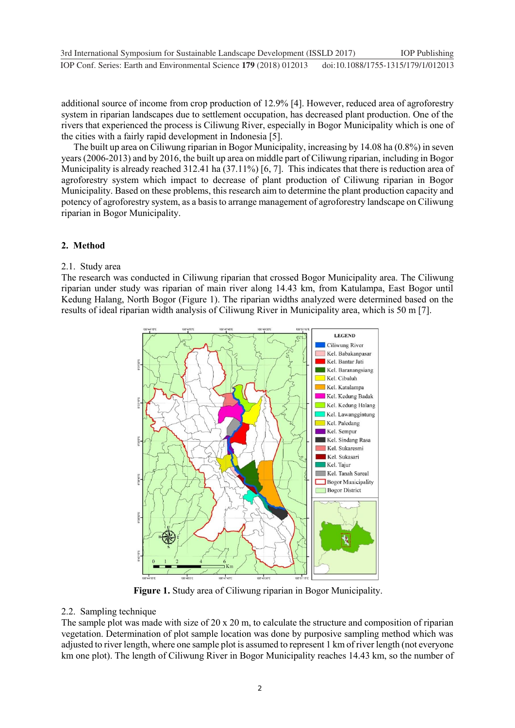additional source of income from crop production of 12.9% [4]. However, reduced area of agroforestry system in riparian landscapes due to settlement occupation, has decreased plant production. One of the rivers that experienced the process is Ciliwung River, especially in Bogor Municipality which is one of the cities with a fairly rapid development in Indonesia [5].

The built up area on Ciliwung riparian in Bogor Municipality, increasing by 14.08 ha (0.8%) in seven years (2006-2013) and by 2016, the built up area on middle part of Ciliwung riparian, including in Bogor Municipality is already reached 312.41 ha (37.11%) [6, 7]. This indicates that there is reduction area of agroforestry system which impact to decrease of plant production of Ciliwung riparian in Bogor Municipality. Based on these problems, this research aim to determine the plant production capacity and potency of agroforestry system, as a basis to arrange management of agroforestry landscape on Ciliwung riparian in Bogor Municipality.

# **2. Method**

# 2.1. Study area

The research was conducted in Ciliwung riparian that crossed Bogor Municipality area. The Ciliwung riparian under study was riparian of main river along 14.43 km, from Katulampa, East Bogor until Kedung Halang, North Bogor (Figure 1). The riparian widths analyzed were determined based on the results of ideal riparian width analysis of Ciliwung River in Municipality area, which is 50 m [7].



**Figure 1.** Study area of Ciliwung riparian in Bogor Municipality.

# 2.2. Sampling technique

The sample plot was made with size of 20 x 20 m, to calculate the structure and composition of riparian vegetation. Determination of plot sample location was done by purposive sampling method which was adjusted to river length, where one sample plot is assumed to represent 1 km of river length (not everyone km one plot). The length of Ciliwung River in Bogor Municipality reaches 14.43 km, so the number of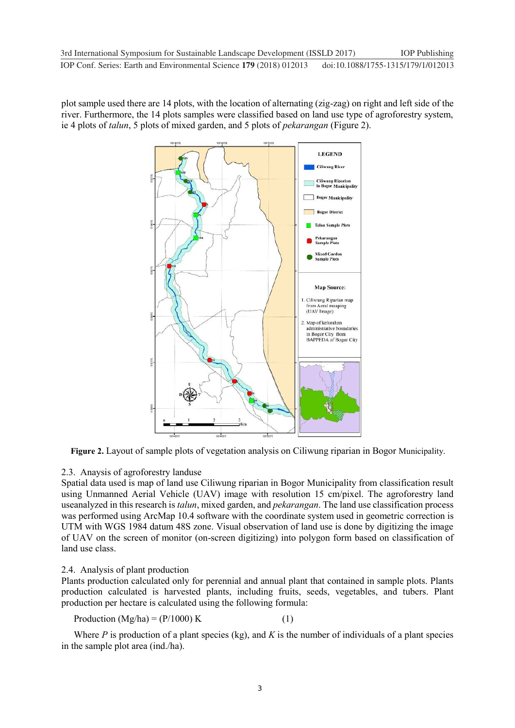plot sample used there are 14 plots, with the location of alternating (zig-zag) on right and left side of the river. Furthermore, the 14 plots samples were classified based on land use type of agroforestry system, ie 4 plots of *talun*, 5 plots of mixed garden, and 5 plots of *pekarangan* (Figure 2).



**Figure 2.** Layout of sample plots of vegetation analysis on Ciliwung riparian in Bogor Municipality.

# 2.3. Anaysis of agroforestry landuse

Spatial data used is map of land use Ciliwung riparian in Bogor Municipality from classification result using Unmanned Aerial Vehicle (UAV) image with resolution 15 cm/pixel. The agroforestry land useanalyzed in this research is *talun*, mixed garden, and *pekarangan*. The land use classification process was performed using ArcMap 10.4 software with the coordinate system used in geometric correction is UTM with WGS 1984 datum 48S zone. Visual observation of land use is done by digitizing the image of UAV on the screen of monitor (on-screen digitizing) into polygon form based on classification of land use class.

# 2.4. Analysis of plant production

Plants production calculated only for perennial and annual plant that contained in sample plots. Plants production calculated is harvested plants, including fruits, seeds, vegetables, and tubers. Plant production per hectare is calculated using the following formula:

Production  $(Mg/ha) = (P/1000) K$  (1)

Where  $P$  is production of a plant species (kg), and  $K$  is the number of individuals of a plant species in the sample plot area (ind./ha).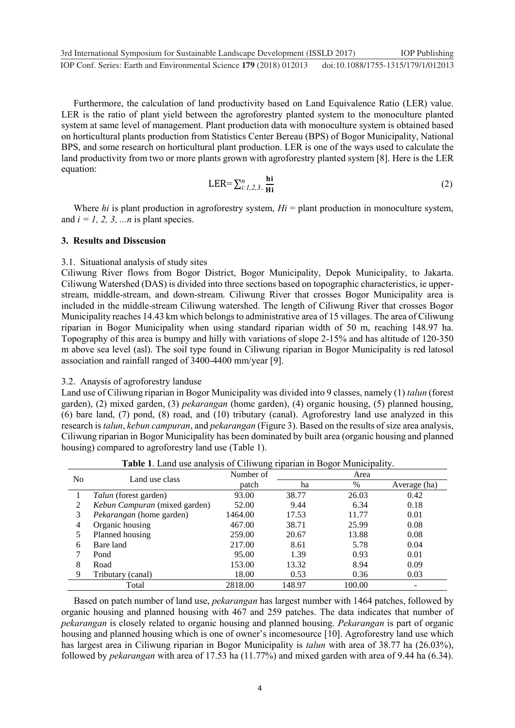Furthermore, the calculation of land productivity based on Land Equivalence Ratio (LER) value. LER is the ratio of plant yield between the agroforestry planted system to the monoculture planted system at same level of management. Plant production data with monoculture system is obtained based on horticultural plants production from Statistics Center Bereau (BPS) of Bogor Municipality, National BPS, and some research on horticultural plant production. LER is one of the ways used to calculate the land productivity from two or more plants grown with agroforestry planted system [8]. Here is the LER equation:

$$
LER = \sum_{i:1,2,3}^{n} \frac{\mathbf{hi}}{\mathbf{Hi}}
$$
 (2)

Where *hi* is plant production in agroforestry system,  $Hi =$  plant production in monoculture system, and  $i = 1, 2, 3, \dots n$  is plant species.

#### **3. Results and Disscusion**

# 3.1. Situational analysis of study sites

Ciliwung River flows from Bogor District, Bogor Municipality, Depok Municipality, to Jakarta. Ciliwung Watershed (DAS) is divided into three sections based on topographic characteristics, ie upperstream, middle-stream, and down-stream. Ciliwung River that crosses Bogor Municipality area is included in the middle-stream Ciliwung watershed. The length of Ciliwung River that crosses Bogor Municipality reaches 14.43 km which belongs to administrative area of 15 villages. The area of Ciliwung riparian in Bogor Municipality when using standard riparian width of 50 m, reaching 148.97 ha. Topography of this area is bumpy and hilly with variations of slope 2-15% and has altitude of 120-350 m above sea level (asl). The soil type found in Ciliwung riparian in Bogor Municipality is red latosol association and rainfall ranged of 3400-4400 mm/year [9].

# 3.2. Anaysis of agroforestry landuse

Land use of Ciliwung riparian in Bogor Municipality was divided into 9 classes, namely (1) *talun* (forest garden), (2) mixed garden, (3) *pekarangan* (home garden), (4) organic housing, (5) planned housing, (6) bare land, (7) pond, (8) road, and (10) tributary (canal). Agroforestry land use analyzed in this research is *talun*, *kebun campuran*, and *pekarangan* (Figure 3). Based on the results of size area analysis, Ciliwung riparian in Bogor Municipality has been dominated by built area (organic housing and planned housing) compared to agroforestry land use (Table 1).

|                | <b>Thore 1.</b> Early doe and you of Chrysland Houran in Dogor Manicipality. |           |        |        |              |  |
|----------------|------------------------------------------------------------------------------|-----------|--------|--------|--------------|--|
| N <sub>0</sub> | Land use class                                                               | Number of | Area   |        |              |  |
|                |                                                                              | patch     | ha     | $\%$   | Average (ha) |  |
|                | <i>Talun</i> (forest garden)                                                 | 93.00     | 38.77  | 26.03  | 0.42         |  |
| 2              | <i>Kebun Campuran</i> (mixed garden)                                         | 52.00     | 9.44   | 6.34   | 0.18         |  |
| 3              | Pekarangan (home garden)                                                     | 1464.00   | 17.53  | 11.77  | 0.01         |  |
| 4              | Organic housing                                                              | 467.00    | 38.71  | 25.99  | 0.08         |  |
|                | Planned housing                                                              | 259.00    | 20.67  | 13.88  | 0.08         |  |
| 6              | Bare land                                                                    | 217.00    | 8.61   | 5.78   | 0.04         |  |
|                | Pond                                                                         | 95.00     | 1.39   | 0.93   | 0.01         |  |
| 8              | Road                                                                         | 153.00    | 13.32  | 8.94   | 0.09         |  |
| 9              | Tributary (canal)                                                            | 18.00     | 0.53   | 0.36   | 0.03         |  |
|                | Total                                                                        | 2818.00   | 148.97 | 100.00 |              |  |

**Table 1**. Land use analysis of Ciliwung riparian in Bogor Municipality.

Based on patch number of land use, *pekarangan* has largest number with 1464 patches, followed by organic housing and planned housing with 467 and 259 patches. The data indicates that number of *pekarangan* is closely related to organic housing and planned housing. *Pekarangan* is part of organic housing and planned housing which is one of owner's incomesource [10]. Agroforestry land use which has largest area in Ciliwung riparian in Bogor Municipality is *talun* with area of 38.77 ha (26.03%), followed by *pekarangan* with area of 17.53 ha (11.77%) and mixed garden with area of 9.44 ha (6.34).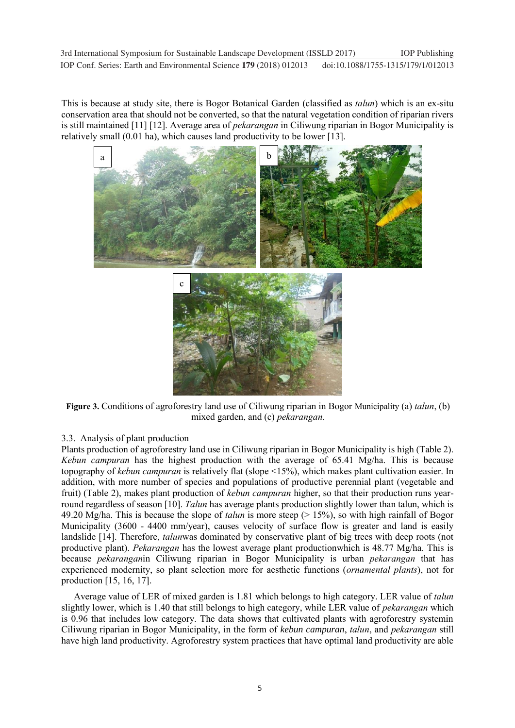This is because at study site, there is Bogor Botanical Garden (classified as *talun*) which is an ex-situ conservation area that should not be converted, so that the natural vegetation condition of riparian rivers is still maintained [11] [12]. Average area of *pekarangan* in Ciliwung riparian in Bogor Municipality is relatively small (0.01 ha), which causes land productivity to be lower [13].



**Figure 3.** Conditions of agroforestry land use of Ciliwung riparian in Bogor Municipality (a) *talun*, (b) mixed garden, and (c) *pekarangan*.

# 3.3. Analysis of plant production

Plants production of agroforestry land use in Ciliwung riparian in Bogor Municipality is high (Table 2). *Kebun campuran* has the highest production with the average of 65.41 Mg/ha. This is because topography of *kebun campuran* is relatively flat (slope <15%), which makes plant cultivation easier. In addition, with more number of species and populations of productive perennial plant (vegetable and fruit) (Table 2), makes plant production of *kebun campuran* higher, so that their production runs yearround regardless of season [10]. *Talun* has average plants production slightly lower than talun, which is 49.20 Mg/ha. This is because the slope of *talun* is more steep (> 15%), so with high rainfall of Bogor Municipality (3600 - 4400 mm/year), causes velocity of surface flow is greater and land is easily landslide [14]. Therefore, *talun*was dominated by conservative plant of big trees with deep roots (not productive plant). *Pekarangan* has the lowest average plant productionwhich is 48.77 Mg/ha. This is because *pekarangan*in Ciliwung riparian in Bogor Municipality is urban *pekarangan* that has experienced modernity, so plant selection more for aesthetic functions (*ornamental plants*), not for production [15, 16, 17].

Average value of LER of mixed garden is 1.81 which belongs to high category. LER value of *talun* slightly lower, which is 1.40 that still belongs to high category, while LER value of *pekarangan* which is 0.96 that includes low category. The data shows that cultivated plants with agroforestry systemin Ciliwung riparian in Bogor Municipality, in the form of *kebun campuran*, *talun*, and *pekarangan* still have high land productivity. Agroforestry system practices that have optimal land productivity are able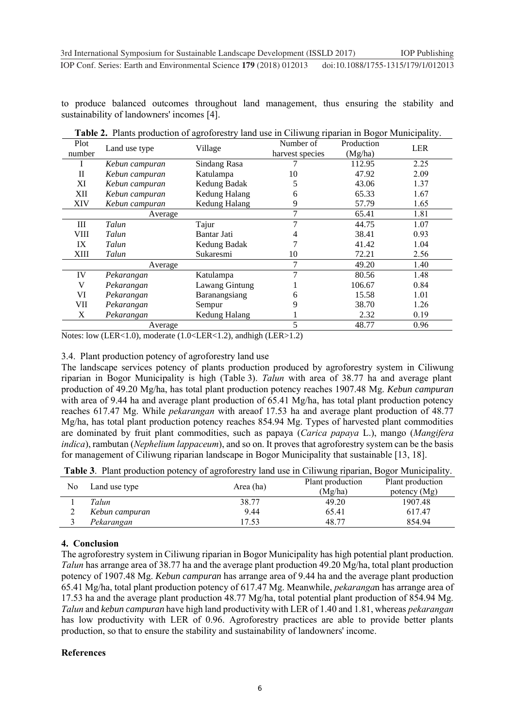to produce balanced outcomes throughout land management, thus ensuring the stability and sustainability of landowners' incomes [4].

| Plot        |                | Village        | Number of       | Production |            |  |
|-------------|----------------|----------------|-----------------|------------|------------|--|
| number      | Land use type  |                | harvest species | (Mg/ha)    | <b>LER</b> |  |
|             | Kebun campuran | Sindang Rasa   |                 | 112.95     | 2.25       |  |
| П           | Kebun campuran | Katulampa      | 10              | 47.92      | 2.09       |  |
| XI          | Kebun campuran | Kedung Badak   | 5               | 43.06      | 1.37       |  |
| XІІ         | Kebun campuran | Kedung Halang  | 6               | 65.33      | 1.67       |  |
| <b>XIV</b>  | Kebun campuran | Kedung Halang  | 9               | 57.79      | 1.65       |  |
|             | Average        |                | 7               | 65.41      | 1.81       |  |
| Ш           | Talun          | Tajur          | 7               | 44.75      | 1.07       |  |
| VIII        | Talun          | Bantar Jati    |                 | 38.41      | 0.93       |  |
| IX          | Talun          | Kedung Badak   |                 | 41.42      | 1.04       |  |
| <b>XIII</b> | Talun          | Sukaresmi      | 10              | 72.21      | 2.56       |  |
|             | Average        |                | 7               | 49.20      | 1.40       |  |
| IV          | Pekarangan     | Katulampa      | $\overline{7}$  | 80.56      | 1.48       |  |
| V           | Pekarangan     | Lawang Gintung |                 | 106.67     | 0.84       |  |
| VI          | Pekarangan     | Baranangsiang  | 6               | 15.58      | 1.01       |  |
| VII         | Pekarangan     | Sempur         | 9               | 38.70      | 1.26       |  |
| X           | Pekarangan     | Kedung Halang  |                 | 2.32       | 0.19       |  |
|             | Average        |                | 5               | 48.77      | 0.96       |  |

**Table 2.** Plants production of agroforestry land use in Ciliwung riparian in Bogor Municipality.

Notes: low (LER<1.0), moderate (1.0<LER<1.2), andhigh (LER>1.2)

# 3.4. Plant production potency of agroforestry land use

The landscape services potency of plants production produced by agroforestry system in Ciliwung riparian in Bogor Municipality is high (Table 3). *Talun* with area of 38.77 ha and average plant production of 49.20 Mg/ha, has total plant production potency reaches 1907.48 Mg. *Kebun campuran* with area of 9.44 ha and average plant production of 65.41 Mg/ha, has total plant production potency reaches 617.47 Mg. While *pekarangan* with areaof 17.53 ha and average plant production of 48.77 Mg/ha, has total plant production potency reaches 854.94 Mg. Types of harvested plant commodities are dominated by fruit plant commodities, such as papaya (*Carica papaya* L.), mango (*Mangifera indica*), rambutan (*Nephelium lappaceum*), and so on. It proves that agroforestry system can be the basis for management of Ciliwung riparian landscape in Bogor Municipality that sustainable [13, 18].

|  | <b>Table 3.</b> Plant production potency of agroforestry land use in Ciliwung riparian, Bogor Municipality. |  |  |  |  |  |  |  |
|--|-------------------------------------------------------------------------------------------------------------|--|--|--|--|--|--|--|
|--|-------------------------------------------------------------------------------------------------------------|--|--|--|--|--|--|--|

| No | Land use type  | Area (ha) | Plant production | Plant production |
|----|----------------|-----------|------------------|------------------|
|    |                |           | Mg/ha)           | potency $(Mg)$   |
|    | Talun          | 38.77     | 49.20            | 1907.48          |
| ∠  | Kebun campuran | 9.44      | 65.41            | 617.47           |
|    | Pekarangan     | 17.53     | 48.77            | 854.94           |

# **4. Conclusion**

The agroforestry system in Ciliwung riparian in Bogor Municipality has high potential plant production. *Talun* has arrange area of 38.77 ha and the average plant production 49.20 Mg/ha, total plant production potency of 1907.48 Mg. *Kebun campuran* has arrange area of 9.44 ha and the average plant production 65.41 Mg/ha, total plant production potency of 617.47 Mg. Meanwhile, *pekaranga*n has arrange area of 17.53 ha and the average plant production 48.77 Mg/ha, total potential plant production of 854.94 Mg. *Talun* and *kebun campuran* have high land productivity with LER of 1.40 and 1.81, whereas *pekarangan* has low productivity with LER of 0.96. Agroforestry practices are able to provide better plants production, so that to ensure the stability and sustainability of landowners' income.

# **References**